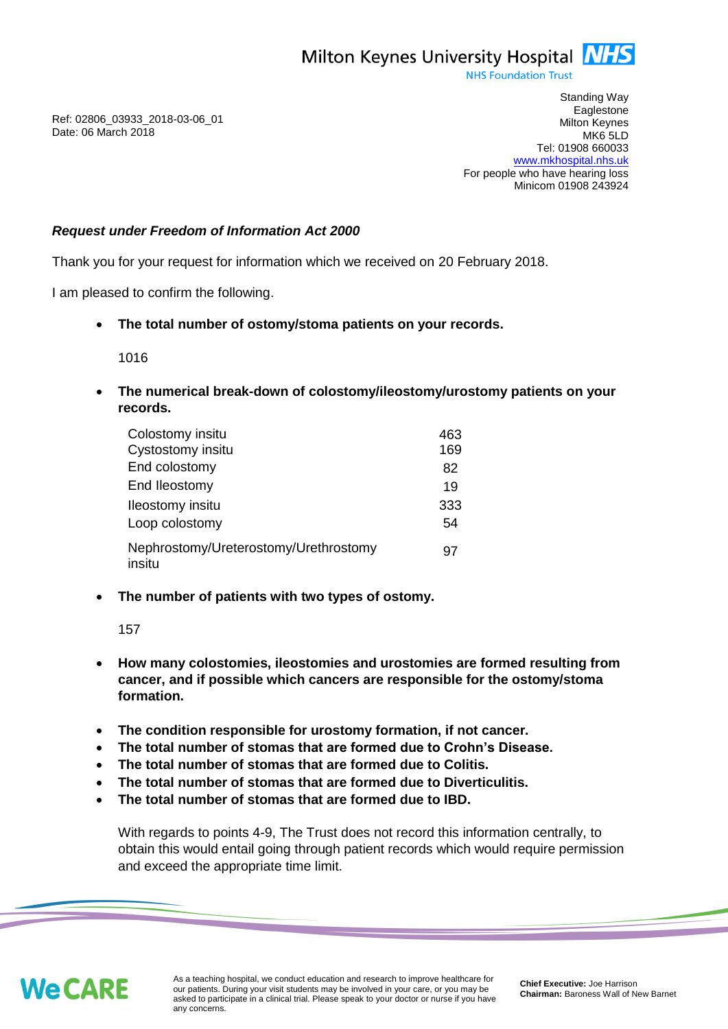

**NHS Foundation Trust** 

Ref: 02806\_03933\_2018-03-06\_01 Date: 06 March 2018

Standing Way **Eaglestone** Milton Keynes MK6 5LD Tel: 01908 660033 [www.mkhospital.nhs.uk](http://www.mkhospital.nhs.uk/) For people who have hearing loss Minicom 01908 243924

## *Request under Freedom of Information Act 2000*

Thank you for your request for information which we received on 20 February 2018.

I am pleased to confirm the following.

**The total number of ostomy/stoma patients on your records.**

1016

 **The numerical break-down of colostomy/ileostomy/urostomy patients on your records.**

| Colostomy insitu                                | 463 |
|-------------------------------------------------|-----|
| Cystostomy insitu                               | 169 |
| End colostomy                                   | 82  |
| End Ileostomy                                   | 19  |
| <b>Ileostomy</b> insitu                         | 333 |
| Loop colostomy                                  | 54  |
| Nephrostomy/Ureterostomy/Urethrostomy<br>insitu | 97  |

**The number of patients with two types of ostomy.**

157

- **How many colostomies, ileostomies and urostomies are formed resulting from cancer, and if possible which cancers are responsible for the ostomy/stoma formation.**
- **The condition responsible for urostomy formation, if not cancer.**
- **The total number of stomas that are formed due to Crohn's Disease.**
- **The total number of stomas that are formed due to Colitis.**
- **The total number of stomas that are formed due to Diverticulitis.**
- **The total number of stomas that are formed due to IBD.**

With regards to points 4-9, The Trust does not record this information centrally, to obtain this would entail going through patient records which would require permission and exceed the appropriate time limit.